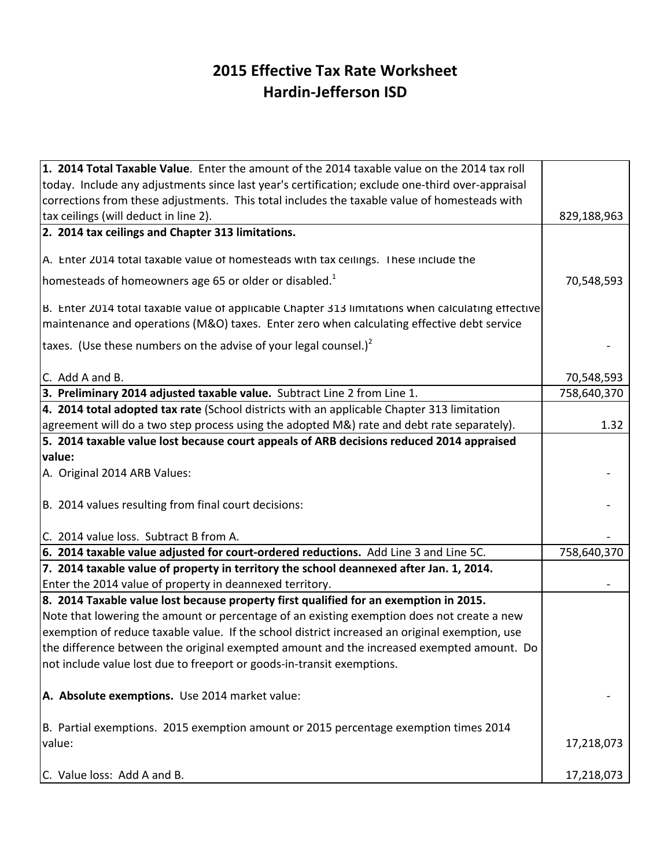## **2015 Effective Tax Rate Worksheet Hardin-Jefferson ISD**

| 1. 2014 Total Taxable Value. Enter the amount of the 2014 taxable value on the 2014 tax roll       |             |
|----------------------------------------------------------------------------------------------------|-------------|
| today. Include any adjustments since last year's certification; exclude one-third over-appraisal   |             |
| corrections from these adjustments. This total includes the taxable value of homesteads with       |             |
| tax ceilings (will deduct in line 2).                                                              | 829,188,963 |
| 2. 2014 tax ceilings and Chapter 313 limitations.                                                  |             |
| A. Enter 2014 total taxable value of homesteads with tax ceilings. These include the               |             |
|                                                                                                    |             |
| homesteads of homeowners age 65 or older or disabled. <sup>1</sup>                                 | 70,548,593  |
| B. Enter 2014 total taxable value of applicable Chapter 313 limitations when calculating effective |             |
| maintenance and operations (M&O) taxes. Enter zero when calculating effective debt service         |             |
| taxes. (Use these numbers on the advise of your legal counsel.) <sup>2</sup>                       |             |
| C. Add A and B.                                                                                    | 70,548,593  |
| 3. Preliminary 2014 adjusted taxable value. Subtract Line 2 from Line 1.                           | 758,640,370 |
| 4. 2014 total adopted tax rate (School districts with an applicable Chapter 313 limitation         |             |
| agreement will do a two step process using the adopted M&) rate and debt rate separately).         | 1.32        |
| 5. 2014 taxable value lost because court appeals of ARB decisions reduced 2014 appraised           |             |
| value:                                                                                             |             |
| A. Original 2014 ARB Values:                                                                       |             |
|                                                                                                    |             |
| B. 2014 values resulting from final court decisions:                                               |             |
| C. 2014 value loss. Subtract B from A.                                                             |             |
| 6. 2014 taxable value adjusted for court-ordered reductions. Add Line 3 and Line 5C.               | 758,640,370 |
| 7. 2014 taxable value of property in territory the school deannexed after Jan. 1, 2014.            |             |
| Enter the 2014 value of property in deannexed territory.                                           |             |
| 8. 2014 Taxable value lost because property first qualified for an exemption in 2015.              |             |
| Note that lowering the amount or percentage of an existing exemption does not create a new         |             |
| exemption of reduce taxable value. If the school district increased an original exemption, use     |             |
| the difference between the original exempted amount and the increased exempted amount. Do          |             |
| not include value lost due to freeport or goods-in-transit exemptions.                             |             |
| A. Absolute exemptions. Use 2014 market value:                                                     |             |
| B. Partial exemptions. 2015 exemption amount or 2015 percentage exemption times 2014               |             |
| value:                                                                                             | 17,218,073  |
| C. Value loss: Add A and B.                                                                        | 17,218,073  |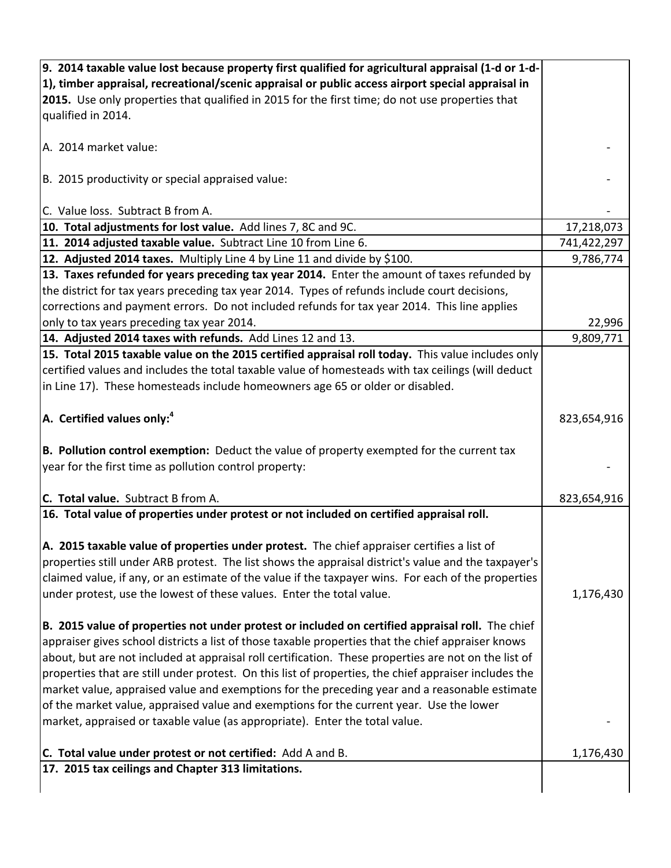| 9. 2014 taxable value lost because property first qualified for agricultural appraisal (1-d or 1-d-   |             |
|-------------------------------------------------------------------------------------------------------|-------------|
| 1), timber appraisal, recreational/scenic appraisal or public access airport special appraisal in     |             |
| 2015. Use only properties that qualified in 2015 for the first time; do not use properties that       |             |
| qualified in 2014.                                                                                    |             |
|                                                                                                       |             |
| A. 2014 market value:                                                                                 |             |
| B. 2015 productivity or special appraised value:                                                      |             |
| C. Value loss. Subtract B from A.                                                                     |             |
| 10. Total adjustments for lost value. Add lines 7, 8C and 9C.                                         | 17,218,073  |
| 11. 2014 adjusted taxable value. Subtract Line 10 from Line 6.                                        | 741,422,297 |
| 12. Adjusted 2014 taxes. Multiply Line 4 by Line 11 and divide by \$100.                              | 9,786,774   |
| 13. Taxes refunded for years preceding tax year 2014. Enter the amount of taxes refunded by           |             |
| the district for tax years preceding tax year 2014. Types of refunds include court decisions,         |             |
| corrections and payment errors. Do not included refunds for tax year 2014. This line applies          |             |
| only to tax years preceding tax year 2014.                                                            | 22,996      |
| 14. Adjusted 2014 taxes with refunds. Add Lines 12 and 13.                                            | 9,809,771   |
| 15. Total 2015 taxable value on the 2015 certified appraisal roll today. This value includes only     |             |
| certified values and includes the total taxable value of homesteads with tax ceilings (will deduct    |             |
| in Line 17). These homesteads include homeowners age 65 or older or disabled.                         |             |
| A. Certified values only: <sup>4</sup>                                                                | 823,654,916 |
| B. Pollution control exemption: Deduct the value of property exempted for the current tax             |             |
| year for the first time as pollution control property:                                                |             |
|                                                                                                       |             |
| C. Total value. Subtract B from A.                                                                    | 823,654,916 |
| 16. Total value of properties under protest or not included on certified appraisal roll.              |             |
| A. 2015 taxable value of properties under protest. The chief appraiser certifies a list of            |             |
| properties still under ARB protest. The list shows the appraisal district's value and the taxpayer's  |             |
| claimed value, if any, or an estimate of the value if the taxpayer wins. For each of the properties   |             |
| under protest, use the lowest of these values. Enter the total value.                                 | 1,176,430   |
|                                                                                                       |             |
| B. 2015 value of properties not under protest or included on certified appraisal roll. The chief      |             |
| appraiser gives school districts a list of those taxable properties that the chief appraiser knows    |             |
| about, but are not included at appraisal roll certification. These properties are not on the list of  |             |
| properties that are still under protest. On this list of properties, the chief appraiser includes the |             |
| market value, appraised value and exemptions for the preceding year and a reasonable estimate         |             |
| of the market value, appraised value and exemptions for the current year. Use the lower               |             |
| market, appraised or taxable value (as appropriate). Enter the total value.                           |             |
|                                                                                                       |             |
| C. Total value under protest or not certified: Add A and B.                                           | 1,176,430   |
| 17. 2015 tax ceilings and Chapter 313 limitations.                                                    |             |
|                                                                                                       |             |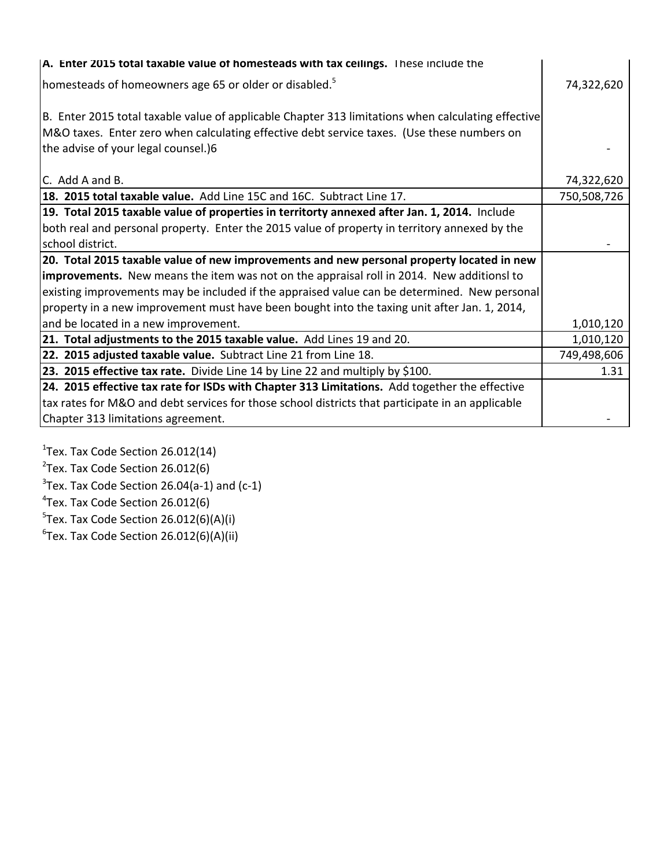| A. Enter 2015 total taxable value of homesteads with tax ceilings. These include the                                                                                                                                                    |             |
|-----------------------------------------------------------------------------------------------------------------------------------------------------------------------------------------------------------------------------------------|-------------|
| homesteads of homeowners age 65 or older or disabled. <sup>5</sup>                                                                                                                                                                      | 74,322,620  |
| B. Enter 2015 total taxable value of applicable Chapter 313 limitations when calculating effective<br>M&O taxes. Enter zero when calculating effective debt service taxes. (Use these numbers on<br>the advise of your legal counsel.)6 |             |
| C. Add A and B.                                                                                                                                                                                                                         | 74,322,620  |
| 18. 2015 total taxable value. Add Line 15C and 16C. Subtract Line 17.                                                                                                                                                                   | 750,508,726 |
| 19. Total 2015 taxable value of properties in territorty annexed after Jan. 1, 2014. Include                                                                                                                                            |             |
| both real and personal property. Enter the 2015 value of property in territory annexed by the                                                                                                                                           |             |
| school district.                                                                                                                                                                                                                        |             |
| 20. Total 2015 taxable value of new improvements and new personal property located in new                                                                                                                                               |             |
| improvements. New means the item was not on the appraisal roll in 2014. New additionsl to                                                                                                                                               |             |
| existing improvements may be included if the appraised value can be determined. New personal                                                                                                                                            |             |
| property in a new improvement must have been bought into the taxing unit after Jan. 1, 2014,                                                                                                                                            |             |
| and be located in a new improvement.                                                                                                                                                                                                    | 1,010,120   |
| 21. Total adjustments to the 2015 taxable value. Add Lines 19 and 20.                                                                                                                                                                   | 1,010,120   |
| 22. 2015 adjusted taxable value. Subtract Line 21 from Line 18.                                                                                                                                                                         | 749,498,606 |
| 23. 2015 effective tax rate. Divide Line 14 by Line 22 and multiply by \$100.                                                                                                                                                           | 1.31        |
| 24. 2015 effective tax rate for ISDs with Chapter 313 Limitations. Add together the effective                                                                                                                                           |             |
| tax rates for M&O and debt services for those school districts that participate in an applicable                                                                                                                                        |             |
| Chapter 313 limitations agreement.                                                                                                                                                                                                      |             |

Tex. Tax Code Section 26.012(14) Tex. Tax Code Section 26.012(6) Tex. Tax Code Section 26.04(a-1) and (c-1)  $\rm ^4$ Tex. Tax Code Section 26.012(6) Tex. Tax Code Section 26.012(6)(A)(i)  ${}^6$ Tex. Tax Code Section 26.012(6)(A)(ii)